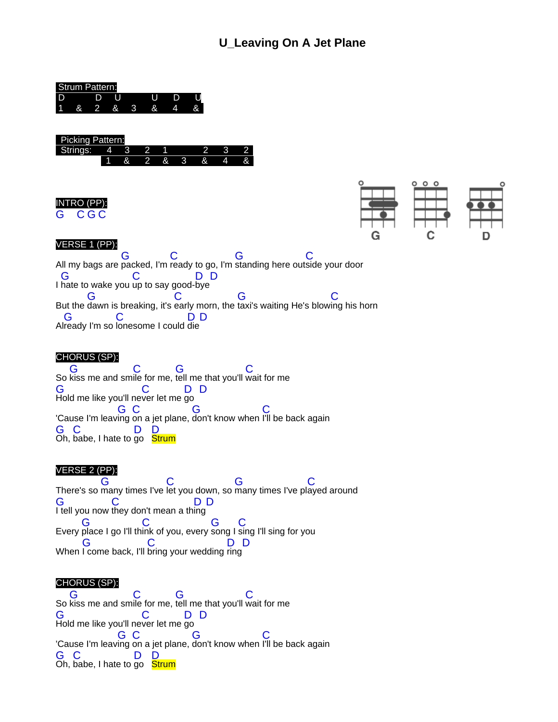## **U\_Leaving On A Jet Plane**